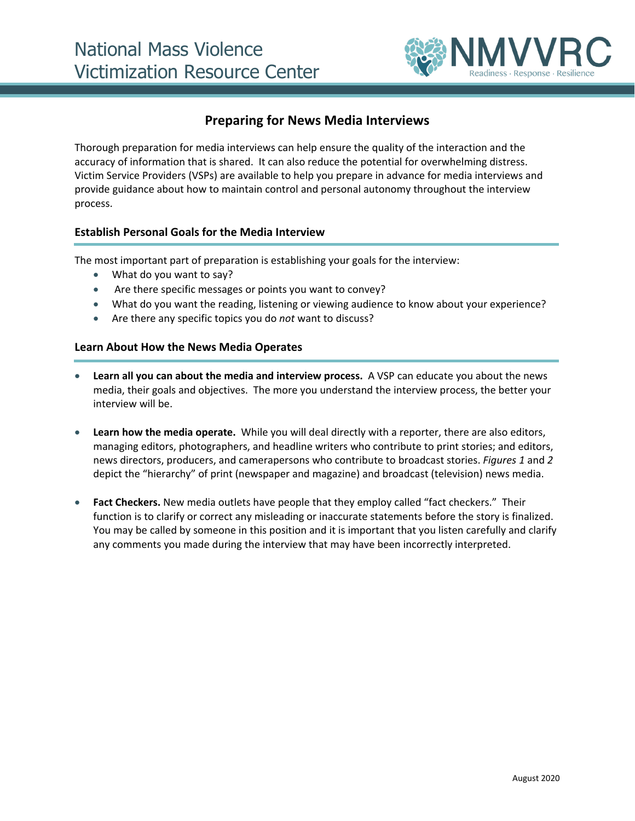

# **Preparing for News Media Interviews**

Thorough preparation for media interviews can help ensure the quality of the interaction and the accuracy of information that is shared. It can also reduce the potential for overwhelming distress. Victim Service Providers (VSPs) are available to help you prepare in advance for media interviews and provide guidance about how to maintain control and personal autonomy throughout the interview process.

## **Establish Personal Goals for the Media Interview**

The most important part of preparation is establishing your goals for the interview:

- What do you want to say?
- Are there specific messages or points you want to convey?
- What do you want the reading, listening or viewing audience to know about your experience?
- Are there any specific topics you do *not* want to discuss?

#### **Learn About How the News Media Operates**

- **Learn all you can about the media and interview process.** A VSP can educate you about the news media, their goals and objectives. The more you understand the interview process, the better your interview will be.
- **Learn how the media operate.** While you will deal directly with a reporter, there are also editors, managing editors, photographers, and headline writers who contribute to print stories; and editors, news directors, producers, and camerapersons who contribute to broadcast stories. *Figures 1* and *2* depict the "hierarchy" of print (newspaper and magazine) and broadcast (television) news media.
- **Fact Checkers.** New media outlets have people that they employ called "fact checkers." Their function is to clarify or correct any misleading or inaccurate statements before the story is finalized. You may be called by someone in this position and it is important that you listen carefully and clarify any comments you made during the interview that may have been incorrectly interpreted.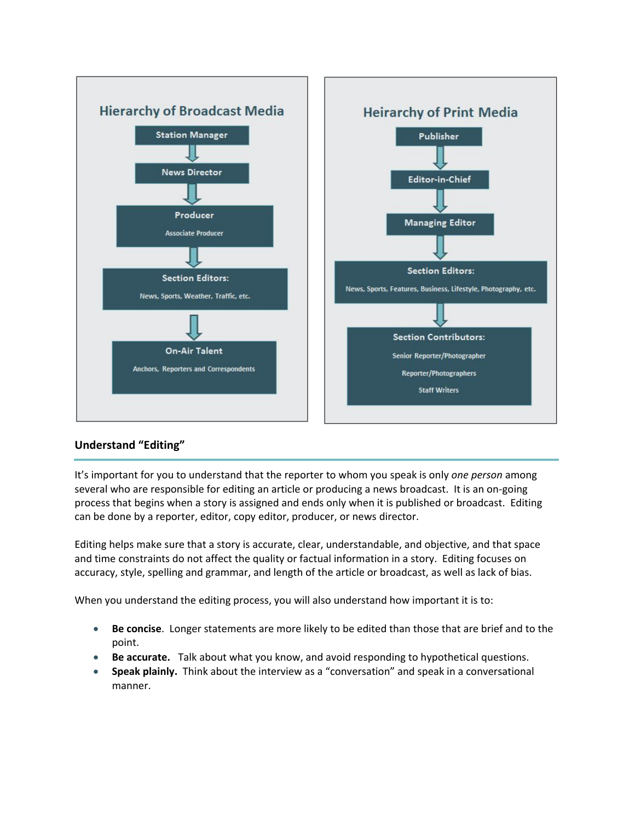

## **Understand "Editing"**

It's important for you to understand that the reporter to whom you speak is only *one person* among several who are responsible for editing an article or producing a news broadcast. It is an on-going process that begins when a story is assigned and ends only when it is published or broadcast. Editing can be done by a reporter, editor, copy editor, producer, or news director.

Editing helps make sure that a story is accurate, clear, understandable, and objective, and that space and time constraints do not affect the quality or factual information in a story. Editing focuses on accuracy, style, spelling and grammar, and length of the article or broadcast, as well as lack of bias.

When you understand the editing process, you will also understand how important it is to:

- **Be concise**. Longer statements are more likely to be edited than those that are brief and to the point.
- **Be accurate.**Talk about what you know, and avoid responding to hypothetical questions.
- **Speak plainly.** Think about the interview as a "conversation" and speak in a conversational manner.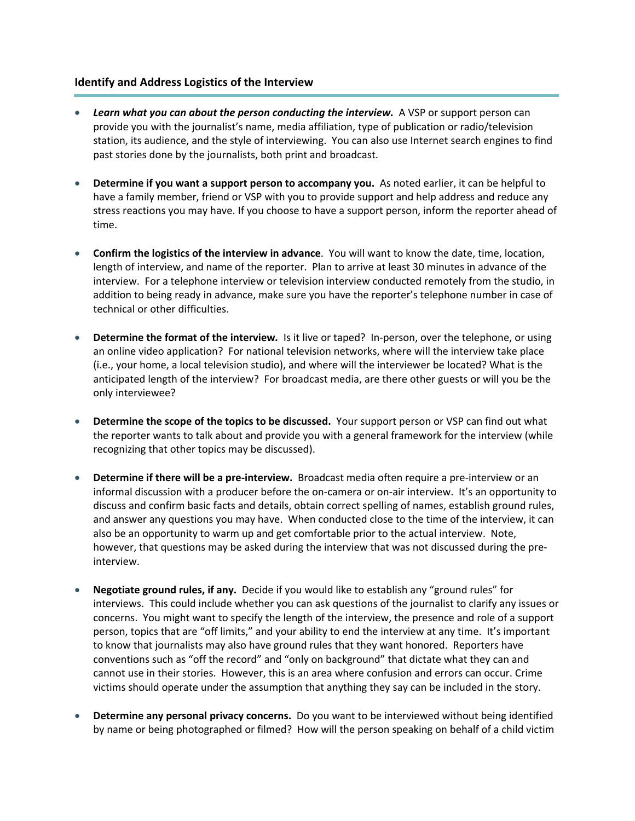### **Identify and Address Logistics of the Interview**

- *Learn what you can about the person conducting the interview.* A VSP or support person can provide you with the journalist's name, media affiliation, type of publication or radio/television station, its audience, and the style of interviewing. You can also use Internet search engines to find past stories done by the journalists, both print and broadcast.
- **Determine if you want a support person to accompany you.** As noted earlier, it can be helpful to have a family member, friend or VSP with you to provide support and help address and reduce any stress reactions you may have. If you choose to have a support person, inform the reporter ahead of time.
- **Confirm the logistics of the interview in advance**. You will want to know the date, time, location, length of interview, and name of the reporter. Plan to arrive at least 30 minutes in advance of the interview. For a telephone interview or television interview conducted remotely from the studio, in addition to being ready in advance, make sure you have the reporter's telephone number in case of technical or other difficulties.
- **Determine the format of the interview***.* Is it live or taped? In-person, over the telephone, or using an online video application? For national television networks, where will the interview take place (i.e., your home, a local television studio), and where will the interviewer be located? What is the anticipated length of the interview? For broadcast media, are there other guests or will you be the only interviewee?
- **Determine the scope of the topics to be discussed.** Your support person or VSP can find out what the reporter wants to talk about and provide you with a general framework for the interview (while recognizing that other topics may be discussed).
- **Determine if there will be a pre-interview.** Broadcast media often require a pre-interview or an informal discussion with a producer before the on-camera or on-air interview. It's an opportunity to discuss and confirm basic facts and details, obtain correct spelling of names, establish ground rules, and answer any questions you may have. When conducted close to the time of the interview, it can also be an opportunity to warm up and get comfortable prior to the actual interview. Note, however, that questions may be asked during the interview that was not discussed during the preinterview.
- **Negotiate ground rules, if any.** Decide if you would like to establish any "ground rules" for interviews. This could include whether you can ask questions of the journalist to clarify any issues or concerns. You might want to specify the length of the interview, the presence and role of a support person, topics that are "off limits," and your ability to end the interview at any time. It's important to know that journalists may also have ground rules that they want honored. Reporters have conventions such as "off the record" and "only on background" that dictate what they can and cannot use in their stories. However, this is an area where confusion and errors can occur. Crime victims should operate under the assumption that anything they say can be included in the story.
- **Determine any personal privacy concerns.** Do you want to be interviewed without being identified by name or being photographed or filmed? How will the person speaking on behalf of a child victim